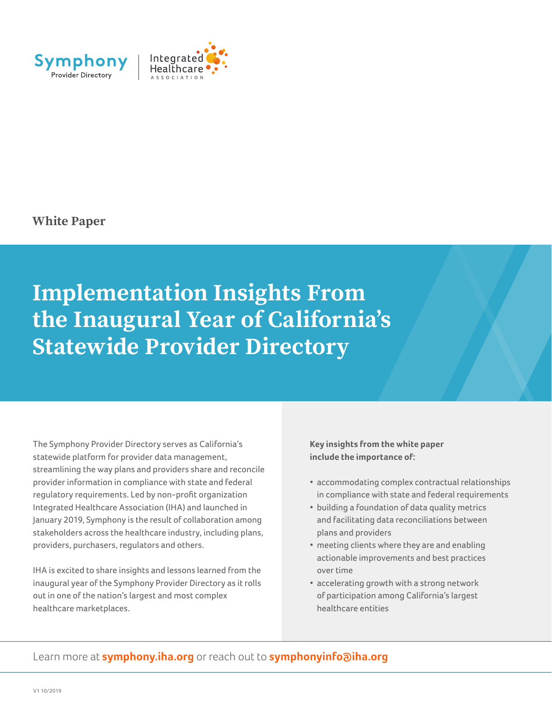

**White Paper**

# **Implementation Insights From the Inaugural Year of California's Statewide Provider Directory**

The Symphony Provider Directory serves as California's statewide platform for provider data management, streamlining the way plans and providers share and reconcile provider information in compliance with state and federal regulatory requirements. Led by non-profit organization Integrated Healthcare Association (IHA) and launched in January 2019, Symphony is the result of collaboration among stakeholders across the healthcare industry, including plans, providers, purchasers, regulators and others.

IHA is excited to share insights and lessons learned from the inaugural year of the Symphony Provider Directory as it rolls out in one of the nation's largest and most complex healthcare marketplaces.

**Key insights from the white paper include the importance of:** 

- accommodating complex contractual relationships in compliance with state and federal requirements
- building a foundation of data quality metrics and facilitating data reconciliations between plans and providers
- meeting clients where they are and enabling actionable improvements and best practices over time
- accelerating growth with a strong network of participation among California's largest healthcare entities

Learn more at **symphony.iha.org** or reach out to **symphonyinfo@iha.org**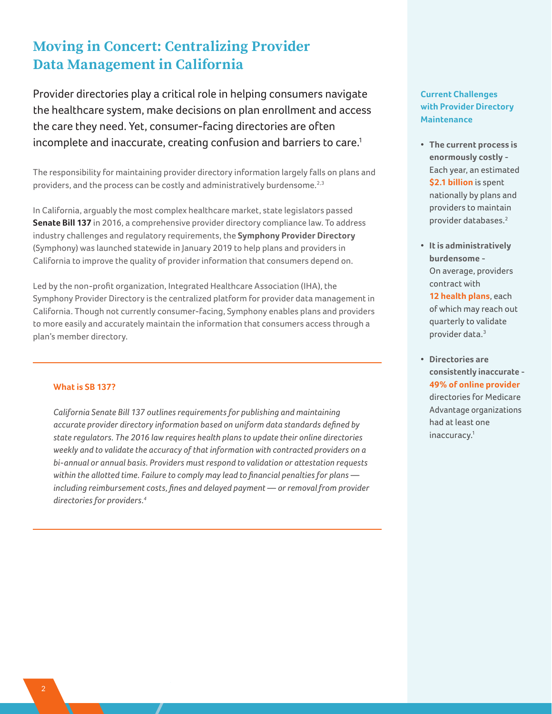## **Moving in Concert: Centralizing Provider Data Management in California**

Provider directories play a critical role in helping consumers navigate the healthcare system, make decisions on plan enrollment and access the care they need. Yet, consumer-facing directories are often incomplete and inaccurate, creating confusion and barriers to care.<sup>1</sup>

The responsibility for maintaining provider directory information largely falls on plans and providers, and the process can be costly and administratively burdensome.<sup>2,3</sup>

In California, arguably the most complex healthcare market, state legislators passed **Senate Bill 137** in 2016, a comprehensive provider directory compliance law. To address industry challenges and regulatory requirements, the **Symphony Provider Directory**  (Symphony) was launched statewide in January 2019 to help plans and providers in California to improve the quality of provider information that consumers depend on.

Led by the non-profit organization, Integrated Healthcare Association (IHA), the Symphony Provider Directory is the centralized platform for provider data management in California. Though not currently consumer-facing, Symphony enables plans and providers to more easily and accurately maintain the information that consumers access through a plan's member directory.

#### **What is SB 137?**

*California Senate Bill 137 outlines requirements for publishing and maintaining accurate provider directory information based on uniform data standards defined by state regulators. The 2016 law requires health plans to update their online directories weekly and to validate the accuracy of that information with contracted providers on a bi-annual or annual basis. Providers must respond to validation or attestation requests within the allotted time. Failure to comply may lead to financial penalties for plans including reimbursement costs, fines and delayed payment — or removal from provider directories for providers.4*

### **Current Challenges with Provider Directory Maintenance**

- **The current process is enormously costly** - Each year, an estimated **\$2.1 billion** is spent nationally by plans and providers to maintain provider databases.2
- **It is administratively burdensome** - On average, providers contract with **12 health plans**, each of which may reach out quarterly to validate

provider data.3

• **Directories are consistently inaccurate** - **49% of online provider** directories for Medicare Advantage organizations had at least one inaccuracy.<sup>1</sup>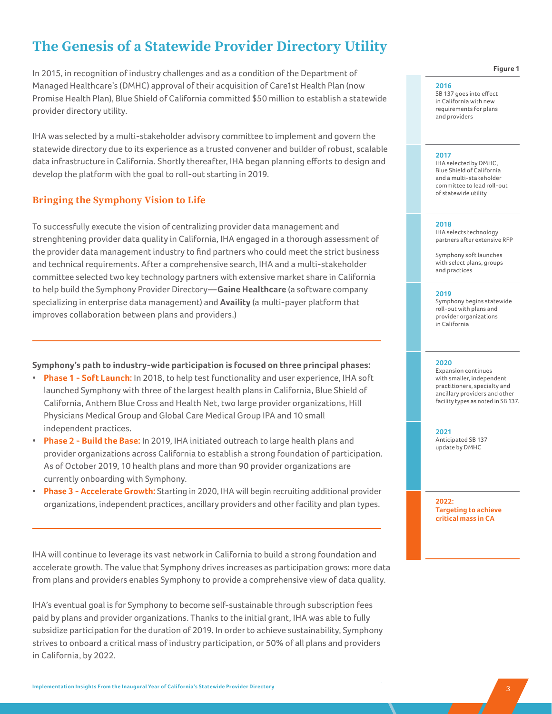## **The Genesis of a Statewide Provider Directory Utility**

In 2015, in recognition of industry challenges and as a condition of the Department of Managed Healthcare's (DMHC) approval of their acquisition of Care1st Health Plan (now Promise Health Plan), Blue Shield of California committed \$50 million to establish a statewide provider directory utility.

IHA was selected by a multi-stakeholder advisory committee to implement and govern the statewide directory due to its experience as a trusted convener and builder of robust, scalable data infrastructure in California. Shortly thereafter, IHA began planning efforts to design and develop the platform with the goal to roll-out starting in 2019.

#### **Bringing the Symphony Vision to Life**

To successfully execute the vision of centralizing provider data management and strenghtening provider data quality in California, IHA engaged in a thorough assessment of the provider data management industry to find partners who could meet the strict business and technical requirements. After a comprehensive search, IHA and a multi-stakeholder committee selected two key technology partners with extensive market share in California to help build the Symphony Provider Directory—**Gaine Healthcare** (a software company specializing in enterprise data management) and **Availity** (a multi-payer platform that improves collaboration between plans and providers.)

#### **Symphony's path to industry-wide participation is focused on three principal phases:**

- **Phase 1 Soft Launch:** In 2018, to help test functionality and user experience, IHA soft launched Symphony with three of the largest health plans in California, Blue Shield of California, Anthem Blue Cross and Health Net, two large provider organizations, Hill Physicians Medical Group and Global Care Medical Group IPA and 10 small independent practices.
- **Phase 2 Build the Base:** In 2019, IHA initiated outreach to large health plans and provider organizations across California to establish a strong foundation of participation. As of October 2019, 10 health plans and more than 90 provider organizations are currently onboarding with Symphony.
- **Phase 3 Accelerate Growth:** Starting in 2020, IHA will begin recruiting additional provider organizations, independent practices, ancillary providers and other facility and plan types.

IHA will continue to leverage its vast network in California to build a strong foundation and accelerate growth. The value that Symphony drives increases as participation grows: more data from plans and providers enables Symphony to provide a comprehensive view of data quality.

IHA's eventual goal is for Symphony to become self-sustainable through subscription fees paid by plans and provider organizations. Thanks to the initial grant, IHA was able to fully subsidize participation for the duration of 2019. In order to achieve sustainability, Symphony strives to onboard a critical mass of industry participation, or 50% of all plans and providers in California, by 2022.

**Figure 1** 

#### **2016**

SB 137 goes into effect in California with new requirements for plans and providers

#### **2017**

IHA selected by DMHC, Blue Shield of California and a multi-stakeholder committee to lead roll-out of statewide utility

#### **2018**

IHA selects technology partners after extensive RFP

Symphony soft launches with select plans, groups and practices

#### **2019**

Symphony begins statewide roll-out with plans and provider organizations in California

#### **2020**

Expansion continues with smaller, independent practitioners, specialty and ancillary providers and other facility types as noted in SB 137.

**2021** Anticipated SB 137 update by DMHC

**2022: Targeting to achieve critical mass in CA**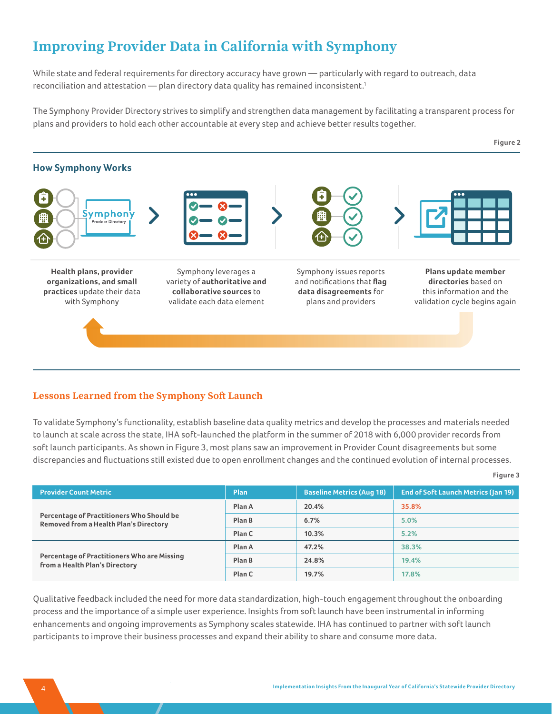## **Improving Provider Data in California with Symphony**

While state and federal requirements for directory accuracy have grown — particularly with regard to outreach, data reconciliation and attestation — plan directory data quality has remained inconsistent.<sup>1</sup>

The Symphony Provider Directory strives to simplify and strengthen data management by facilitating a transparent process for plans and providers to hold each other accountable at every step and achieve better results together.



### **Lessons Learned from the Symphony Soft Launch**

To validate Symphony's functionality, establish baseline data quality metrics and develop the processes and materials needed to launch at scale across the state, IHA soft-launched the platform in the summer of 2018 with 6,000 provider records from soft launch participants. As shown in Figure 3, most plans saw an improvement in Provider Count disagreements but some discrepancies and fluctuations still existed due to open enrollment changes and the continued evolution of internal processes.

| <b>Provider Count Metric</b>                                                               | <b>Plan</b> | <b>Baseline Metrics (Aug 18)</b> | <b>End of Soft Launch Metrics (Jan 19)</b> |
|--------------------------------------------------------------------------------------------|-------------|----------------------------------|--------------------------------------------|
| Percentage of Practitioners Who Should be<br><b>Removed from a Health Plan's Directory</b> | Plan A      | 20.4%                            | 35.8%                                      |
|                                                                                            | Plan B      | 6.7%                             | 5.0%                                       |
|                                                                                            | Plan C      | 10.3%                            | 5.2%                                       |
| Percentage of Practitioners Who are Missing<br>from a Health Plan's Directory              | Plan A      | 47.2%                            | 38.3%                                      |
|                                                                                            | Plan B      | 24.8%                            | 19.4%                                      |
|                                                                                            | Plan C      | 19.7%                            | 17.8%                                      |

Qualitative feedback included the need for more data standardization, high-touch engagement throughout the onboarding process and the importance of a simple user experience. Insights from soft launch have been instrumental in informing enhancements and ongoing improvements as Symphony scales statewide. IHA has continued to partner with soft launch participants to improve their business processes and expand their ability to share and consume more data.

**Figure 3**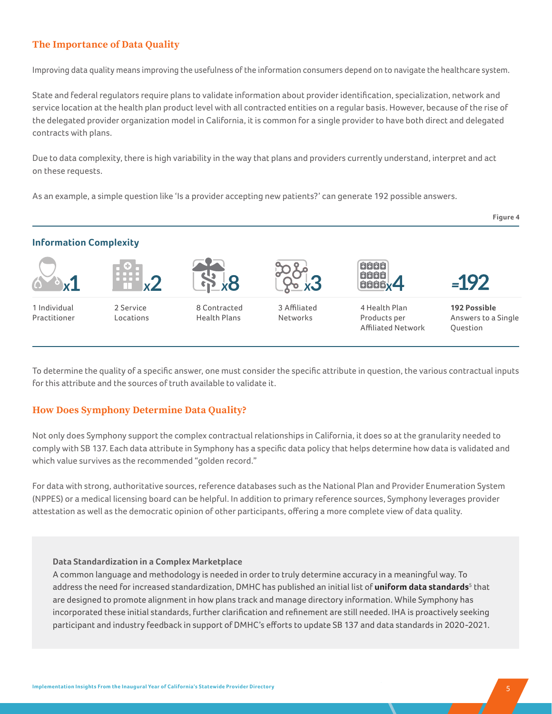### **The Importance of Data Quality**

Improving data quality means improving the usefulness of the information consumers depend on to navigate the healthcare system.

State and federal regulators require plans to validate information about provider identification, specialization, network and service location at the health plan product level with all contracted entities on a regular basis. However, because of the rise of the delegated provider organization model in California, it is common for a single provider to have both direct and delegated contracts with plans.

Due to data complexity, there is high variability in the way that plans and providers currently understand, interpret and act on these requests.

As an example, a simple question like 'Is a provider accepting new patients?' can generate 192 possible answers.



To determine the quality of a specific answer, one must consider the specific attribute in question, the various contractual inputs for this attribute and the sources of truth available to validate it.

### **How Does Symphony Determine Data Quality?**

Not only does Symphony support the complex contractual relationships in California, it does so at the granularity needed to comply with SB 137. Each data attribute in Symphony has a specific data policy that helps determine how data is validated and which value survives as the recommended "golden record."

For data with strong, authoritative sources, reference databases such as the National Plan and Provider Enumeration System (NPPES) or a medical licensing board can be helpful. In addition to primary reference sources, Symphony leverages provider attestation as well as the democratic opinion of other participants, offering a more complete view of data quality.

#### **Data Standardization in a Complex Marketplace**

A common language and methodology is needed in order to truly determine accuracy in a meaningful way. To address the need for increased standardization, DMHC has published an initial list of **uniform data standards**<sup>5</sup> that are designed to promote alignment in how plans track and manage directory information. While Symphony has incorporated these initial standards, further clarification and refinement are still needed. IHA is proactively seeking participant and industry feedback in support of DMHC's efforts to update SB 137 and data standards in 2020-2021.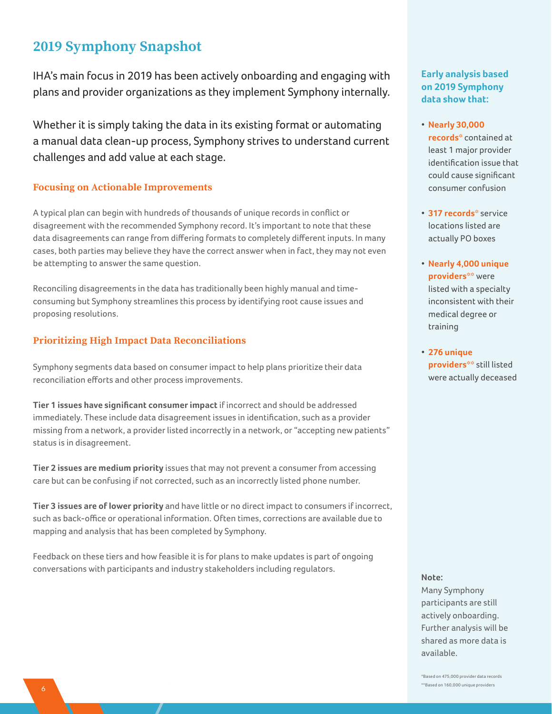## **2019 Symphony Snapshot**

IHA's main focus in 2019 has been actively onboarding and engaging with plans and provider organizations as they implement Symphony internally.

Whether it is simply taking the data in its existing format or automating a manual data clean-up process, Symphony strives to understand current challenges and add value at each stage.

#### **Focusing on Actionable Improvements**

A typical plan can begin with hundreds of thousands of unique records in conflict or disagreement with the recommended Symphony record. It's important to note that these data disagreements can range from differing formats to completely different inputs. In many cases, both parties may believe they have the correct answer when in fact, they may not even be attempting to answer the same question.

Reconciling disagreements in the data has traditionally been highly manual and timeconsuming but Symphony streamlines this process by identifying root cause issues and proposing resolutions.

### **Prioritizing High Impact Data Reconciliations**

Symphony segments data based on consumer impact to help plans prioritize their data reconciliation efforts and other process improvements.

**Tier 1 issues have significant consumer impact** if incorrect and should be addressed immediately. These include data disagreement issues in identification, such as a provider missing from a network, a provider listed incorrectly in a network, or "accepting new patients" status is in disagreement.

**Tier 2 issues are medium priority** issues that may not prevent a consumer from accessing care but can be confusing if not corrected, such as an incorrectly listed phone number.

**Tier 3 issues are of lower priority** and have little or no direct impact to consumers if incorrect, such as back-office or operational information. Often times, corrections are available due to mapping and analysis that has been completed by Symphony.

Feedback on these tiers and how feasible it is for plans to make updates is part of ongoing conversations with participants and industry stakeholders including regulators.

### **Early analysis based on 2019 Symphony data show that:**

- **Nearly 30,000 records\*** contained at least 1 major provider identification issue that could cause significant consumer confusion
- **317 records\*** service locations listed are actually PO boxes
- **Nearly 4,000 unique providers\*\*** were listed with a specialty inconsistent with their medical degree or training

• **276 unique providers\*\*** still listed were actually deceased

#### **Note:**

Many Symphony participants are still actively onboarding. Further analysis will be shared as more data is available.

**6 Implementation Institute Institute Institute Institute Institute Institute Institute Providers** \*Based on 475,000 provider data records \*\*Based on 160,000 unique providers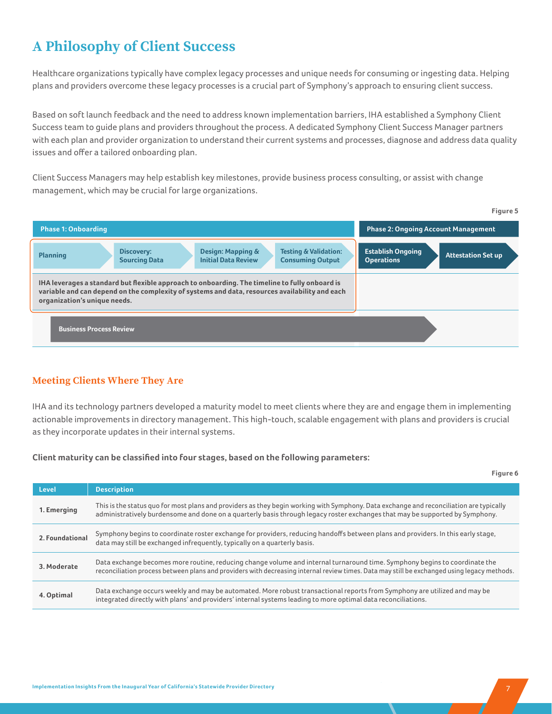## **A Philosophy of Client Success**

Healthcare organizations typically have complex legacy processes and unique needs for consuming or ingesting data. Helping plans and providers overcome these legacy processes is a crucial part of Symphony's approach to ensuring client success.

Based on soft launch feedback and the need to address known implementation barriers, IHA established a Symphony Client Success team to guide plans and providers throughout the process. A dedicated Symphony Client Success Manager partners with each plan and provider organization to understand their current systems and processes, diagnose and address data quality issues and offer a tailored onboarding plan.

Client Success Managers may help establish key milestones, provide business process consulting, or assist with change management, which may be crucial for large organizations.



### **Meeting Clients Where They Are**

IHA and its technology partners developed a maturity model to meet clients where they are and engage them in implementing actionable improvements in directory management. This high-touch, scalable engagement with plans and providers is crucial as they incorporate updates in their internal systems.

**Client maturity can be classified into four stages, based on the following parameters:** 

|                 | Figure 6                                                                                                                                                                                                                                                                  |
|-----------------|---------------------------------------------------------------------------------------------------------------------------------------------------------------------------------------------------------------------------------------------------------------------------|
| Level           | <b>Description</b>                                                                                                                                                                                                                                                        |
| 1. Emerging     | This is the status quo for most plans and providers as they begin working with Symphony. Data exchange and reconciliation are typically<br>administratively burdensome and done on a quarterly basis through legacy roster exchanges that may be supported by Symphony.   |
| 2. Foundational | Symphony begins to coordinate roster exchange for providers, reducing handoffs between plans and providers. In this early stage,<br>data may still be exchanged infrequently, typically on a quarterly basis.                                                             |
| 3. Moderate     | Data exchange becomes more routine, reducing change volume and internal turnaround time. Symphony begins to coordinate the<br>reconciliation process between plans and providers with decreasing internal review times. Data may still be exchanged using legacy methods. |
| 4. Optimal      | Data exchange occurs weekly and may be automated. More robust transactional reports from Symphony are utilized and may be<br>integrated directly with plans' and providers' internal systems leading to more optimal data reconciliations.                                |